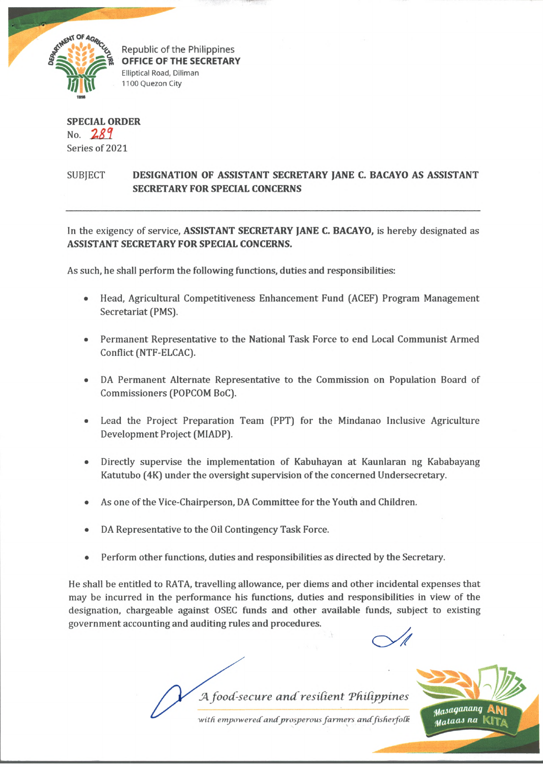

Republic of the Philippines OFFICE OF THE SECRETARY Elliptical Road, Diliman 1100 Quezon City

## **SPECIAL ORDER** No. *Z S 1* Series of 2021

## SUBJECT **DESIGNATION OF ASSISTANT SECRETARY JANE C. BACAYO AS ASSISTANT SECRETARY FOR SPECIAL CONCERNS**

In the exigency of service, **ASSISTANT SECRETARY JANE C. BACAYO,** is hereby designated as **ASSISTANT SECRETARY FOR SPECIAL CONCERNS.**

As such, he shall perform the following functions, duties and responsibilities:

- Head, Agricultural Competitiveness Enhancement Fund (ACEF) Program Management Secretariat (PMS).
- Permanent Representative to the National Task Force to end Local Communist Armed Conflict (NTF-ELCAC).
- DA Permanent Alternate Representative to the Commission on Population Board of Commissioners (POPCOM BoC).
- Lead the Project Preparation Team (PPT) for the Mindanao Inclusive Agriculture Development Project (MIADP).
- Directly supervise the implementation of Kabuhayan at Kaunlaran ng Kababayang Katutubo (4K) under the oversight supervision of the concerned Undersecretary.
- As one of the Vice-Chairperson, DA Committee for the Youth and Children.
- DA Representative to the Oil Contingency Task Force.
- Perform other functions, duties and responsibilities as directed by the Secretary.

He shall be entitled to RATA, travelling allowance, per diems and other incidental expenses that may be incurred in the performance his functions, duties and responsibilities in view of the designation, chargeable against OSEC funds and other available funds, subject to existing government accounting and auditing rules and procedures.

*JA food-secure and resident TfiiUppines*

with empowered and prosperous farmers and fisherfolk